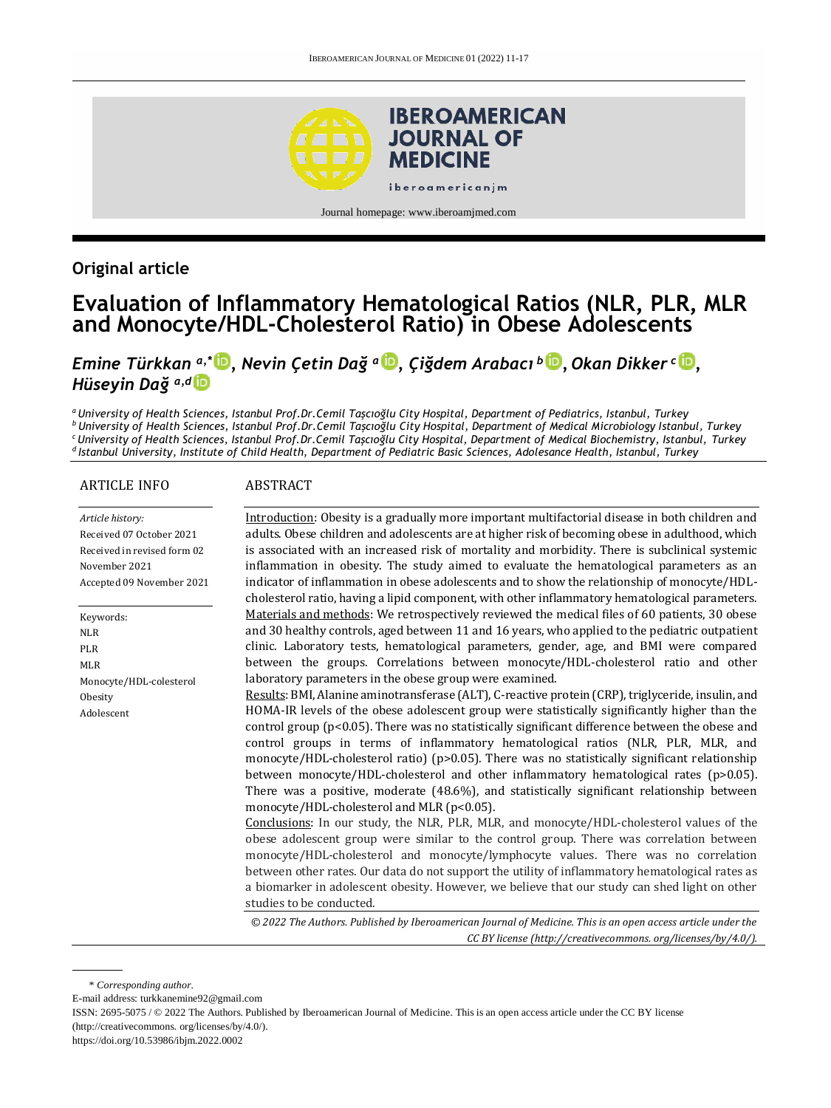

Journal homepage[: www.iberoamjmed.com](file:///C:/Users/EDUARDO/Desktop/REVISTA/Iberoamerican%20Journal%20of%20Medicine/Issues/Formato%20artículos/Bilingüe/www.iberoamjmed.com)

# **Original article**

# **Evaluation of Inflammatory Hematological Ratios (NLR, PLR, MLR and Monocyte/HDL-Cholesterol Ratio) in Obese Adolescents**

*Emine Türkkan a,\* , Nevin Çetin Dağ a , Çiğdem Arabacı <sup>b</sup> [,](http://orcid.org/0000-0003-0050-3225) Okan Dikker <sup>c</sup> [,](http://orcid.org/0000-0002-9153-6139) Hüseyin Dağ a,d*

*<sup>a</sup>University of Health Sciences, Istanbul Prof.Dr.Cemil Taşcıoğlu City Hospital, Department of Pediatrics, Istanbul, Turkey <sup>b</sup>University of Health Sciences, Istanbul Prof.Dr.Cemil Taşcıoğlu City Hospital, Department of Medical Microbiology Istanbul, Turkey <sup>c</sup>University of Health Sciences, Istanbul Prof.Dr.Cemil Taşcıoğlu City Hospital, Department of Medical Biochemistry, Istanbul, Turkey <sup>d</sup>Istanbul University, Institute of Child Health, Department of Pediatric Basic Sciences, Adolesance Health, Istanbul, Turkey*

#### ARTICLE INFO

#### **ABSTRACT**

*Article history:* Received 07 October 2021 Received in revised form 02 November 2021 Accepted 09 November 2021

Keywords: NLR PLR MLR Monocyte/HDL-colesterol **Obesity** Adolescent

Introduction: Obesity is a gradually more important multifactorial disease in both children and adults. Obese children and adolescents are at higher risk of becoming obese in adulthood, which is associated with an increased risk of mortality and morbidity. There is subclinical systemic inflammation in obesity. The study aimed to evaluate the hematological parameters as an indicator of inflammation in obese adolescents and to show the relationship of monocyte/HDLcholesterol ratio, having a lipid component, with other inflammatory hematological parameters. Materials and methods: We retrospectively reviewed the medical files of 60 patients, 30 obese and 30 healthy controls, aged between 11 and 16 years, who applied to the pediatric outpatient clinic. Laboratory tests, hematological parameters, gender, age, and BMI were compared between the groups. Correlations between monocyte/HDL-cholesterol ratio and other laboratory parameters in the obese group were examined.

Results: BMI, Alanine aminotransferase (ALT), C-reactive protein (CRP), triglyceride, insulin, and HOMA-IR levels of the obese adolescent group were statistically significantly higher than the control group (p<0.05). There was no statistically significant difference between the obese and control groups in terms of inflammatory hematological ratios (NLR, PLR, MLR, and monocyte/HDL-cholesterol ratio) (p>0.05). There was no statistically significant relationship between monocyte/HDL-cholesterol and other inflammatory hematological rates (p>0.05). There was a positive, moderate (48.6%), and statistically significant relationship between monocyte/HDL-cholesterol and MLR (p<0.05).

Conclusions: In our study, the NLR, PLR, MLR, and monocyte/HDL-cholesterol values of the obese adolescent group were similar to the control group. There was correlation between monocyte/HDL-cholesterol and monocyte/lymphocyte values. There was no correlation between other rates. Our data do not support the utility of inflammatory hematological rates as a biomarker in adolescent obesity. However, we believe that our study can shed light on other studies to be conducted.

*© 2022 The Authors. Published by Iberoamerican Journal of Medicine. This is an open access article under the CC BY license (http:/[/creativecommons. org/licenses/by/4.0/\)](https://creativecommons.org/licenses/by/4.0/).*

\* *Corresponding author.*

E-mail address[: turkkanemine92@gmail.com](mailto:turkkanemine92@gmail.com)

ISSN: 2695-5075 / © 2022 The Authors. Published by Iberoamerican Journal of Medicine. This is an open access article under the CC BY license (http:/[/creativecommons. org/licenses/by/4.0/\)](https://creativecommons.org/licenses/by/4.0/).

<https://doi.org/10.53986/ibjm.2022.0002>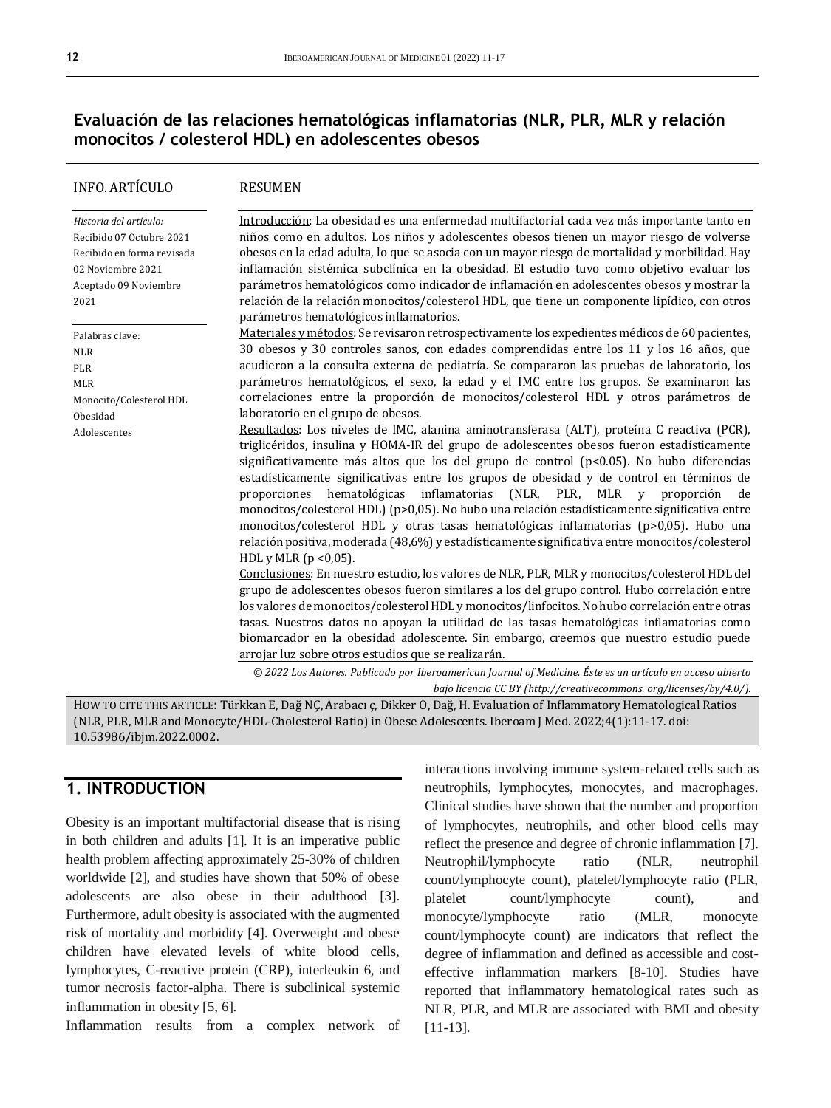# **Evaluación de las relaciones hematológicas inflamatorias (NLR, PLR, MLR y relación monocitos / colesterol HDL) en adolescentes obesos**

| <b>INFO. ARTÍCULO</b>                                                                                                                  | <b>RESUMEN</b>                                                                                                                                                                                                                                                                                                                                                                                                                                                                                                                                                                                                                                                                                                                                                                                                                                                                                                                                                                                                                                                                                                                                                                                                                                                                                                                                                                                                                                                                                                                                                                                                                                                                                                                                                                                                                                                            |
|----------------------------------------------------------------------------------------------------------------------------------------|---------------------------------------------------------------------------------------------------------------------------------------------------------------------------------------------------------------------------------------------------------------------------------------------------------------------------------------------------------------------------------------------------------------------------------------------------------------------------------------------------------------------------------------------------------------------------------------------------------------------------------------------------------------------------------------------------------------------------------------------------------------------------------------------------------------------------------------------------------------------------------------------------------------------------------------------------------------------------------------------------------------------------------------------------------------------------------------------------------------------------------------------------------------------------------------------------------------------------------------------------------------------------------------------------------------------------------------------------------------------------------------------------------------------------------------------------------------------------------------------------------------------------------------------------------------------------------------------------------------------------------------------------------------------------------------------------------------------------------------------------------------------------------------------------------------------------------------------------------------------------|
| Historia del artículo:<br>Recibido 07 Octubre 2021<br>Recibido en forma revisada<br>02 Noviembre 2021<br>Aceptado 09 Noviembre<br>2021 | Introducción: La obesidad es una enfermedad multifactorial cada vez más importante tanto en<br>niños como en adultos. Los niños y adolescentes obesos tienen un mayor riesgo de volverse<br>obesos en la edad adulta, lo que se asocia con un mayor riesgo de mortalidad y morbilidad. Hay<br>inflamación sistémica subclínica en la obesidad. El estudio tuvo como objetivo evaluar los<br>parámetros hematológicos como indicador de inflamación en adolescentes obesos y mostrar la<br>relación de la relación monocitos/colesterol HDL, que tiene un componente lipídico, con otros<br>parámetros hematológicos inflamatorios.                                                                                                                                                                                                                                                                                                                                                                                                                                                                                                                                                                                                                                                                                                                                                                                                                                                                                                                                                                                                                                                                                                                                                                                                                                        |
| Palabras clave:<br><b>NLR</b><br>PLR<br><b>MLR</b><br>Monocito/Colesterol HDL<br>Obesidad<br>Adolescentes                              | Materiales y métodos: Se revisaron retrospectivamente los expedientes médicos de 60 pacientes,<br>30 obesos y 30 controles sanos, con edades comprendidas entre los 11 y los 16 años, que<br>acudieron a la consulta externa de pediatría. Se compararon las pruebas de laboratorio, los<br>parámetros hematológicos, el sexo, la edad y el IMC entre los grupos. Se examinaron las<br>correlaciones entre la proporción de monocitos/colesterol HDL y otros parámetros de<br>laboratorio en el grupo de obesos.<br>Resultados: Los niveles de IMC, alanina aminotransferasa (ALT), proteína C reactiva (PCR),<br>triglicéridos, insulina y HOMA-IR del grupo de adolescentes obesos fueron estadísticamente<br>significativamente más altos que los del grupo de control $(p<0.05)$ . No hubo diferencias<br>estadísticamente significativas entre los grupos de obesidad y de control en términos de<br>inflamatorias (NLR, PLR, MLR<br>hematológicas<br>proporciones<br>proporción de<br>V<br>monocitos/colesterol HDL) (p>0,05). No hubo una relación estadísticamente significativa entre<br>monocitos/colesterol HDL y otras tasas hematológicas inflamatorias (p>0,05). Hubo una<br>relación positiva, moderada (48,6%) y estadísticamente significativa entre monocitos/colesterol<br>HDL y MLR $(p < 0.05)$ .<br>Conclusiones: En nuestro estudio, los valores de NLR, PLR, MLR y monocitos/colesterol HDL del<br>grupo de adolescentes obesos fueron similares a los del grupo control. Hubo correlación entre<br>los valores de monocitos/colesterol HDL y monocitos/linfocitos. No hubo correlación entre otras<br>tasas. Nuestros datos no apoyan la utilidad de las tasas hematológicas inflamatorias como<br>biomarcador en la obesidad adolescente. Sin embargo, creemos que nuestro estudio puede<br>arrojar luz sobre otros estudios que se realizarán. |
|                                                                                                                                        | © 2022 Los Autores. Publicado por Iberoamerican Journal of Medicine. Éste es un artículo en acceso abierto<br>bajo licencia CC BY (http://creativecommons. org/licenses/by/4.0/).                                                                                                                                                                                                                                                                                                                                                                                                                                                                                                                                                                                                                                                                                                                                                                                                                                                                                                                                                                                                                                                                                                                                                                                                                                                                                                                                                                                                                                                                                                                                                                                                                                                                                         |

HOW TO CITE THIS ARTICLE: Türkkan E, Dağ NÇ, Arabacı ç, Dikker O, Dağ, H. Evaluation of Inflammatory Hematological Ratios (NLR, PLR, MLR and Monocyte/HDL-Cholesterol Ratio) in Obese Adolescents. Iberoam J Med. 2022;4(1):11-17. doi: [10.53986/ibjm.2022.0002.](https://doi.org/10.53986/ibjm.2022.0002)

# **1. INTRODUCTION**

Obesity is an important multifactorial disease that is rising in both children and adults [1]. It is an imperative public health problem affecting approximately 25-30% of children worldwide [2], and studies have shown that 50% of obese adolescents are also obese in their adulthood [3]. Furthermore, adult obesity is associated with the augmented risk of mortality and morbidity [4]. Overweight and obese children have elevated levels of white blood cells, lymphocytes, C-reactive protein (CRP), interleukin 6, and tumor necrosis factor-alpha. There is subclinical systemic inflammation in obesity [5, 6].

Inflammation results from a complex network of

interactions involving immune system-related cells such as neutrophils, lymphocytes, monocytes, and macrophages. Clinical studies have shown that the number and proportion of lymphocytes, neutrophils, and other blood cells may reflect the presence and degree of chronic inflammation [7]. Neutrophil/lymphocyte ratio (NLR, neutrophil count/lymphocyte count), platelet/lymphocyte ratio (PLR, platelet count/lymphocyte count), and monocyte/lymphocyte ratio (MLR, monocyte count/lymphocyte count) are indicators that reflect the degree of inflammation and defined as accessible and costeffective inflammation markers [8-10]. Studies have reported that inflammatory hematological rates such as NLR, PLR, and MLR are associated with BMI and obesity [11-13].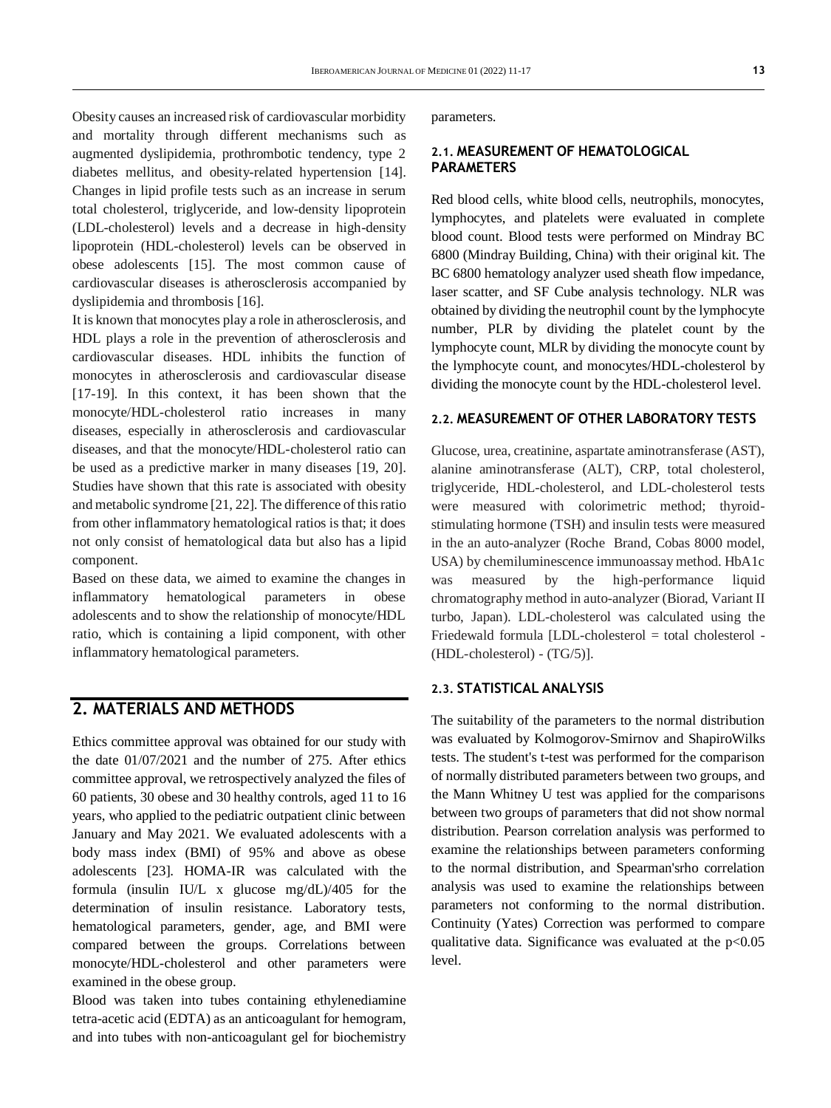Obesity causes an increased risk of cardiovascular morbidity and mortality through different mechanisms such as augmented dyslipidemia, prothrombotic tendency, type 2 diabetes mellitus, and obesity-related hypertension [14]. Changes in lipid profile tests such as an increase in serum total cholesterol, triglyceride, and low-density lipoprotein (LDL-cholesterol) levels and a decrease in high-density lipoprotein (HDL-cholesterol) levels can be observed in obese adolescents [15]. The most common cause of cardiovascular diseases is atherosclerosis accompanied by dyslipidemia and thrombosis [16].

It is known that monocytes play a role in atherosclerosis, and HDL plays a role in the prevention of atherosclerosis and cardiovascular diseases. HDL inhibits the function of monocytes in atherosclerosis and cardiovascular disease [17-19]. In this context, it has been shown that the monocyte/HDL-cholesterol ratio increases in many diseases, especially in atherosclerosis and cardiovascular diseases, and that the monocyte/HDL-cholesterol ratio can be used as a predictive marker in many diseases [19, 20]. Studies have shown that this rate is associated with obesity and metabolic syndrome [21, 22]. The difference of this ratio from other inflammatory hematological ratios is that; it does not only consist of hematological data but also has a lipid component.

Based on these data, we aimed to examine the changes in inflammatory hematological parameters in obese adolescents and to show the relationship of monocyte/HDL ratio, which is containing a lipid component, with other inflammatory hematological parameters.

### **2. MATERIALS AND METHODS**

Ethics committee approval was obtained for our study with the date 01/07/2021 and the number of 275. After ethics committee approval, we retrospectively analyzed the files of 60 patients, 30 obese and 30 healthy controls, aged 11 to 16 years, who applied to the pediatric outpatient clinic between January and May 2021. We evaluated adolescents with a body mass index (BMI) of 95% and above as obese adolescents [23]. HOMA-IR was calculated with the formula (insulin IU/L x glucose mg/dL)/405 for the determination of insulin resistance. Laboratory tests, hematological parameters, gender, age, and BMI were compared between the groups. Correlations between monocyte/HDL-cholesterol and other parameters were examined in the obese group.

Blood was taken into tubes containing ethylenediamine tetra-acetic acid (EDTA) as an anticoagulant for hemogram, and into tubes with non-anticoagulant gel for biochemistry parameters.

#### **2.1. MEASUREMENT OF HEMATOLOGICAL PARAMETERS**

Red blood cells, white blood cells, neutrophils, monocytes, lymphocytes, and platelets were evaluated in complete blood count. Blood tests were performed on Mindray BC 6800 (Mindray Building, China) with their original kit. The BC 6800 hematology analyzer used sheath flow impedance, laser scatter, and SF Cube analysis technology. NLR was obtained by dividing the neutrophil count by the lymphocyte number, PLR by dividing the platelet count by the lymphocyte count, MLR by dividing the monocyte count by the lymphocyte count, and monocytes/HDL-cholesterol by dividing the monocyte count by the HDL-cholesterol level.

#### **2.2. MEASUREMENT OF OTHER LABORATORY TESTS**

Glucose, urea, creatinine, aspartate aminotransferase (AST), alanine aminotransferase (ALT), CRP, total cholesterol, triglyceride, HDL-cholesterol, and LDL-cholesterol tests were measured with colorimetric method; thyroidstimulating hormone (TSH) and insulin tests were measured in the an auto-analyzer (Roche Brand, Cobas 8000 model, USA) by chemiluminescence immunoassay method. HbA1c was measured by the high-performance liquid chromatography method in auto-analyzer (Biorad, Variant II turbo, Japan). LDL-cholesterol was calculated using the Friedewald formula [LDL-cholesterol = total cholesterol - (HDL-cholesterol) - (TG/5)].

#### **2.3. STATISTICAL ANALYSIS**

The suitability of the parameters to the normal distribution was evaluated by Kolmogorov-Smirnov and ShapiroWilks tests. The student's t-test was performed for the comparison of normally distributed parameters between two groups, and the Mann Whitney U test was applied for the comparisons between two groups of parameters that did not show normal distribution. Pearson correlation analysis was performed to examine the relationships between parameters conforming to the normal distribution, and Spearman'srho correlation analysis was used to examine the relationships between parameters not conforming to the normal distribution. Continuity (Yates) Correction was performed to compare qualitative data. Significance was evaluated at the  $p<0.05$ level.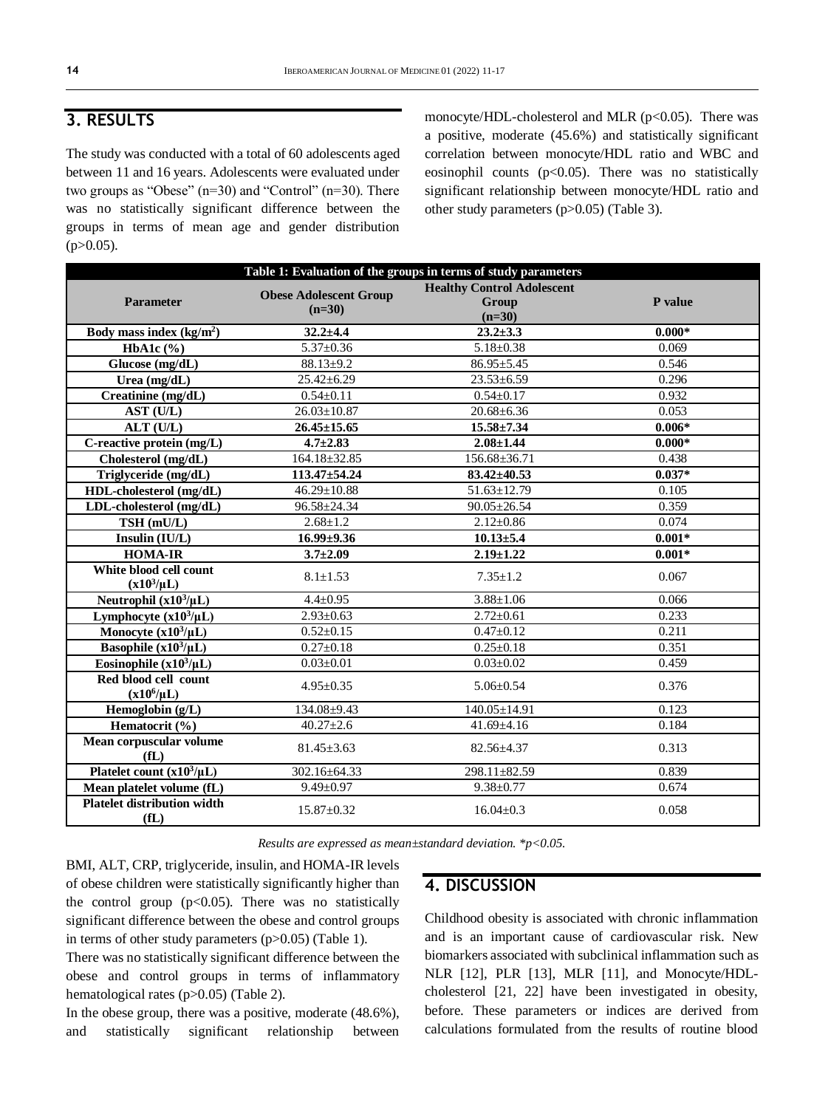# **3. RESULTS**

The study was conducted with a total of 60 adolescents aged between 11 and 16 years. Adolescents were evaluated under two groups as "Obese" (n=30) and "Control" (n=30). There was no statistically significant difference between the groups in terms of mean age and gender distribution  $(p>0.05)$ .

monocyte/HDL-cholesterol and MLR (p<0.05). There was a positive, moderate (45.6%) and statistically significant correlation between monocyte/HDL ratio and WBC and eosinophil counts ( $p<0.05$ ). There was no statistically significant relationship between monocyte/HDL ratio and other study parameters (p>0.05) (Table 3).

|                                            |                                           | Table 1: Evaluation of the groups in terms of study parameters |          |  |  |
|--------------------------------------------|-------------------------------------------|----------------------------------------------------------------|----------|--|--|
| <b>Parameter</b>                           | <b>Obese Adolescent Group</b><br>$(n=30)$ | <b>Healthy Control Adolescent</b><br>Group<br>$(n=30)$         | P value  |  |  |
| Body mass index $(kg/m2)$                  | $32.2 + 4.4$                              | $23.2 \pm 3.3$                                                 | $0.000*$ |  |  |
| HbA1c $(\% )$                              | $5.37 \pm 0.36$                           | $5.18 \pm 0.38$                                                | 0.069    |  |  |
| Glucose (mg/dL)                            | $88.13 \pm 9.2$                           | $86.95 \pm 5.45$                                               | 0.546    |  |  |
| Urea (mg/dL)                               | $25.42 \pm 6.29$                          | $23.53 \pm 6.59$                                               | 0.296    |  |  |
| Creatinine (mg/dL)                         | $0.54 \pm 0.11$                           | $0.54 \pm 0.17$                                                | 0.932    |  |  |
| AST (U/L)                                  | $26.03 \pm 10.87$                         | $20.68 \pm 6.36$                                               | 0.053    |  |  |
| ALT (U/L)                                  | $26.45 \pm 15.65$                         | $15.58 \pm 7.34$                                               | $0.006*$ |  |  |
| C-reactive protein (mg/L)                  | $4.7 \pm 2.83$                            | $2.08 \pm 1.44$                                                | $0.000*$ |  |  |
| Cholesterol (mg/dL)                        | $164.18 \pm 32.85$                        | 156.68±36.71                                                   | 0.438    |  |  |
| Triglyceride (mg/dL)                       | 113.47±54.24                              | $83.42 \pm 40.53$                                              | $0.037*$ |  |  |
| HDL-cholesterol (mg/dL)                    | $46.29 \pm 10.88$                         | $51.63 \pm 12.79$                                              | 0.105    |  |  |
| LDL-cholesterol (mg/dL)                    | 96.58±24.34                               | $90.05 \pm 26.54$                                              | 0.359    |  |  |
| TSH (mU/L)                                 | $2.68 \pm 1.2$                            | $2.12 \pm 0.86$                                                | 0.074    |  |  |
| Insulin (IU/L)                             | $16.99 \pm 9.36$                          | $10.13 \pm 5.4$                                                | $0.001*$ |  |  |
| <b>HOMA-IR</b>                             | $3.7 \pm 2.09$                            | $2.19 \pm 1.22$                                                | $0.001*$ |  |  |
| White blood cell count<br>$(x10^3/\mu L)$  | $8.1 \pm 1.53$                            | $7.35 \pm 1.2$                                                 | 0.067    |  |  |
| Neutrophil $(x10^3/\mu L)$                 | $4.4 \pm 0.95$                            | $3.88 \pm 1.06$                                                | 0.066    |  |  |
| Lymphocyte $(x10^3/\mu L)$                 | $2.93 \pm 0.63$                           | $2.72 \pm 0.61$                                                | 0.233    |  |  |
| Monocyte $(x10^3/\mu L)$                   | $0.52 \pm 0.15$                           | $0.47 \pm 0.12$                                                | 0.211    |  |  |
| Basophile $(x10^3/\mu L)$                  | $0.27 \pm 0.18$                           | $0.25 \pm 0.18$                                                | 0.351    |  |  |
| Eosinophile $(x10^3/\mu L)$                | $0.03 \pm 0.01$                           | $0.03 \pm 0.02$                                                | 0.459    |  |  |
| Red blood cell count<br>$(x10^6/\mu L)$    | $4.95 \pm 0.35$                           | $5.06 \pm 0.54$                                                | 0.376    |  |  |
| Hemoglobin (g/L)                           | 134.08±9.43                               | $140.05 \pm 14.91$                                             | 0.123    |  |  |
| Hematocrit (%)                             | $40.27 \pm 2.6$                           | $41.69 \pm 4.16$                                               | 0.184    |  |  |
| Mean corpuscular volume<br>f(L)            | $81.45 \pm 3.63$                          | 82.56±4.37                                                     | 0.313    |  |  |
| Platelet count $(x10^3/\mu L)$             | 302.16±64.33                              | 298.11±82.59                                                   | 0.839    |  |  |
| Mean platelet volume (fL)                  | $9.49 \pm 0.97$                           | $9.38 \pm 0.77$                                                | 0.674    |  |  |
| <b>Platelet distribution width</b><br>f(L) | $15.87 \pm 0.32$                          | $16.04 \pm 0.3$                                                | 0.058    |  |  |

*Results are expressed as mean±standard deviation. \*p<0.05.*

BMI, ALT, CRP, triglyceride, insulin, and HOMA-IR levels of obese children were statistically significantly higher than the control group ( $p<0.05$ ). There was no statistically significant difference between the obese and control groups in terms of other study parameters  $(p>0.05)$  (Table 1).

There was no statistically significant difference between the obese and control groups in terms of inflammatory hematological rates (p>0.05) (Table 2).

In the obese group, there was a positive, moderate (48.6%), and statistically significant relationship between

### **4. DISCUSSION**

Childhood obesity is associated with chronic inflammation and is an important cause of cardiovascular risk. New biomarkers associated with subclinical inflammation such as NLR [12], PLR [13], MLR [11], and Monocyte/HDLcholesterol [21, 22] have been investigated in obesity, before. These parameters or indices are derived from calculations formulated from the results of routine blood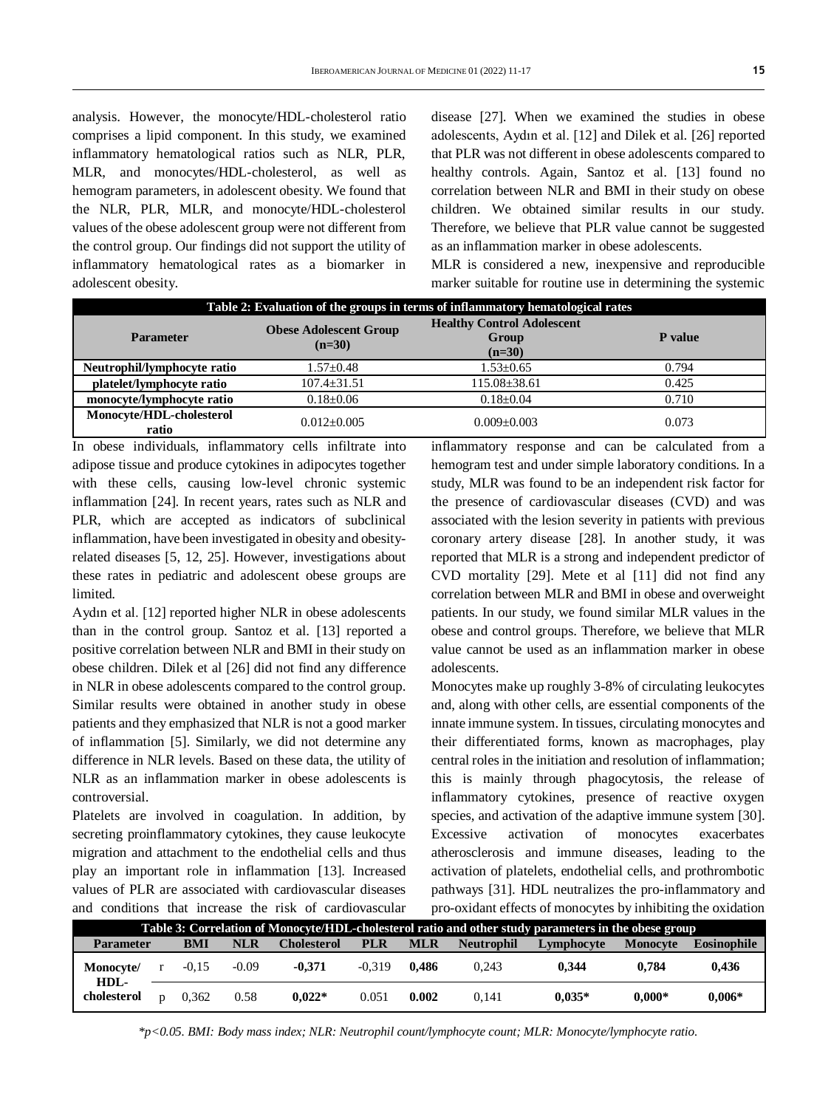analysis. However, the monocyte/HDL-cholesterol ratio comprises a lipid component. In this study, we examined inflammatory hematological ratios such as NLR, PLR, MLR, and monocytes/HDL-cholesterol, as well as hemogram parameters, in adolescent obesity. We found that the NLR, PLR, MLR, and monocyte/HDL-cholesterol values of the obese adolescent group were not different from the control group. Our findings did not support the utility of inflammatory hematological rates as a biomarker in adolescent obesity.

disease [27]. When we examined the studies in obese adolescents, Aydın et al. [12] and Dilek et al. [26] reported that PLR was not different in obese adolescents compared to healthy controls. Again, Santoz et al. [13] found no correlation between NLR and BMI in their study on obese children. We obtained similar results in our study. Therefore, we believe that PLR value cannot be suggested as an inflammation marker in obese adolescents.

MLR is considered a new, inexpensive and reproducible marker suitable for routine use in determining the systemic

| Table 2: Evaluation of the groups in terms of inflammatory hematological rates |                                           |                                                        |         |  |  |  |
|--------------------------------------------------------------------------------|-------------------------------------------|--------------------------------------------------------|---------|--|--|--|
| <b>Parameter</b>                                                               | <b>Obese Adolescent Group</b><br>$(n=30)$ | <b>Healthy Control Adolescent</b><br>Group<br>$(n=30)$ | P value |  |  |  |
| Neutrophil/lymphocyte ratio                                                    | $1.57 \pm 0.48$                           | $1.53 \pm 0.65$                                        | 0.794   |  |  |  |
| platelet/lymphocyte ratio                                                      | $107.4 + 31.51$                           | $115.08 \pm 38.61$                                     | 0.425   |  |  |  |
| monocyte/lymphocyte ratio                                                      | $0.18 \pm 0.06$                           | $0.18 + 0.04$                                          | 0.710   |  |  |  |
| Monocyte/HDL-cholesterol<br>ratio                                              | $0.012 + 0.005$                           | $0.009 + 0.003$                                        | 0.073   |  |  |  |

In obese individuals, inflammatory cells infiltrate into adipose tissue and produce cytokines in adipocytes together with these cells, causing low-level chronic systemic inflammation [24]. In recent years, rates such as NLR and PLR, which are accepted as indicators of subclinical inflammation, have been investigated in obesity and obesityrelated diseases [5, 12, 25]. However, investigations about these rates in pediatric and adolescent obese groups are limited.

Aydın et al. [12] reported higher NLR in obese adolescents than in the control group. Santoz et al. [13] reported a positive correlation between NLR and BMI in their study on obese children. Dilek et al [26] did not find any difference in NLR in obese adolescents compared to the control group. Similar results were obtained in another study in obese patients and they emphasized that NLR is not a good marker of inflammation [5]. Similarly, we did not determine any difference in NLR levels. Based on these data, the utility of NLR as an inflammation marker in obese adolescents is controversial.

Platelets are involved in coagulation. In addition, by secreting proinflammatory cytokines, they cause leukocyte migration and attachment to the endothelial cells and thus play an important role in inflammation [13]. Increased values of PLR are associated with cardiovascular diseases and conditions that increase the risk of cardiovascular

inflammatory response and can be calculated from a hemogram test and under simple laboratory conditions. In a study, MLR was found to be an independent risk factor for the presence of cardiovascular diseases (CVD) and was associated with the lesion severity in patients with previous coronary artery disease [28]. In another study, it was reported that MLR is a strong and independent predictor of CVD mortality [29]. Mete et al [11] did not find any correlation between MLR and BMI in obese and overweight patients. In our study, we found similar MLR values in the obese and control groups. Therefore, we believe that MLR value cannot be used as an inflammation marker in obese adolescents.

Monocytes make up roughly 3-8% of circulating leukocytes and, along with other cells, are essential components of the innate immune system. In tissues, circulating monocytes and their differentiated forms, known as macrophages, play central roles in the initiation and resolution of inflammation; this is mainly through phagocytosis, the release of inflammatory cytokines, presence of reactive oxygen species, and activation of the adaptive immune system [30]. Excessive activation of monocytes exacerbates atherosclerosis and immune diseases, leading to the activation of platelets, endothelial cells, and prothrombotic pathways [31]. HDL neutralizes the pro-inflammatory and pro-oxidant effects of monocytes by inhibiting the oxidation

| Table 3: Correlation of Monocyte/HDL-cholesterol ratio and other study parameters in the obese group |  |         |            |             |            |            |                   |            |                 |                    |
|------------------------------------------------------------------------------------------------------|--|---------|------------|-------------|------------|------------|-------------------|------------|-----------------|--------------------|
| <b>Parameter</b>                                                                                     |  | BMI     | <b>NLR</b> | Cholesterol | <b>PLR</b> | <b>MLR</b> | <b>Neutrophil</b> | Lymphocyte | <b>Monocyte</b> | <b>Eosinophile</b> |
| Monocyte/                                                                                            |  | $-0.15$ | $-0.09$    | $-0.371$    | $-0.319$   | 0.486      | 0.243             | 0.344      | 0.784           | 0.436              |
| HDL-<br>cholesterol                                                                                  |  | 0.362   | 0.58       | $0.022*$    | 0.051      | 0.002      | 0.141             | $0.035*$   | $0.000*$        | $0.006*$           |

*\*p<0.05. BMI: Body mass index; NLR: Neutrophil count/lymphocyte count; MLR: Monocyte/lymphocyte ratio.*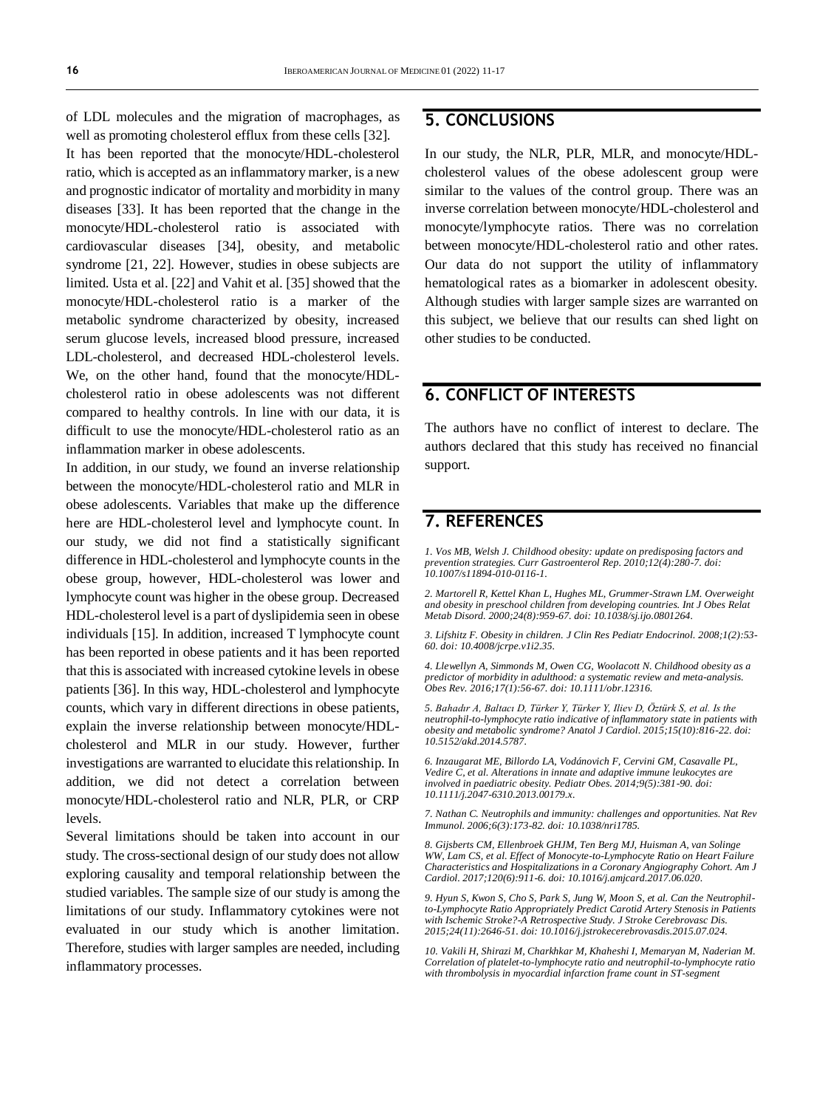of LDL molecules and the migration of macrophages, as well as promoting cholesterol efflux from these cells [32]. It has been reported that the monocyte/HDL-cholesterol ratio, which is accepted as an inflammatory marker, is a new and prognostic indicator of mortality and morbidity in many diseases [33]. It has been reported that the change in the monocyte/HDL-cholesterol ratio is associated with cardiovascular diseases [34], obesity, and metabolic syndrome [21, 22]. However, studies in obese subjects are limited. Usta et al. [22] and Vahit et al. [35] showed that the monocyte/HDL-cholesterol ratio is a marker of the metabolic syndrome characterized by obesity, increased serum glucose levels, increased blood pressure, increased LDL-cholesterol, and decreased HDL-cholesterol levels. We, on the other hand, found that the monocyte/HDLcholesterol ratio in obese adolescents was not different compared to healthy controls. In line with our data, it is difficult to use the monocyte/HDL-cholesterol ratio as an inflammation marker in obese adolescents.

In addition, in our study, we found an inverse relationship between the monocyte/HDL-cholesterol ratio and MLR in obese adolescents. Variables that make up the difference here are HDL-cholesterol level and lymphocyte count. In our study, we did not find a statistically significant difference in HDL-cholesterol and lymphocyte counts in the obese group, however, HDL-cholesterol was lower and lymphocyte count was higher in the obese group. Decreased HDL-cholesterol level is a part of dyslipidemia seen in obese individuals [15]. In addition, increased T lymphocyte count has been reported in obese patients and it has been reported that this is associated with increased cytokine levels in obese patients [36]. In this way, HDL-cholesterol and lymphocyte counts, which vary in different directions in obese patients, explain the inverse relationship between monocyte/HDLcholesterol and MLR in our study. However, further investigations are warranted to elucidate this relationship. In addition, we did not detect a correlation between monocyte/HDL-cholesterol ratio and NLR, PLR, or CRP levels.

Several limitations should be taken into account in our study. The cross-sectional design of our study does not allow exploring causality and temporal relationship between the studied variables. The sample size of our study is among the limitations of our study. Inflammatory cytokines were not evaluated in our study which is another limitation. Therefore, studies with larger samples are needed, including inflammatory processes.

## **5. CONCLUSIONS**

In our study, the NLR, PLR, MLR, and monocyte/HDLcholesterol values of the obese adolescent group were similar to the values of the control group. There was an inverse correlation between monocyte/HDL-cholesterol and monocyte/lymphocyte ratios. There was no correlation between monocyte/HDL-cholesterol ratio and other rates. Our data do not support the utility of inflammatory hematological rates as a biomarker in adolescent obesity. Although studies with larger sample sizes are warranted on this subject, we believe that our results can shed light on other studies to be conducted.

# **6. CONFLICT OF INTERESTS**

The authors have no conflict of interest to declare. The authors declared that this study has received no financial support.

## **7. REFERENCES**

*1. Vos MB, Welsh J. Childhood obesity: update on predisposing factors and prevention strategies. Curr Gastroenterol Rep. 2010;12(4):280-7. doi: [10.1007/s11894-010-0116-1.](https://doi.org/10.1007/s11894-010-0116-1)*

*2. Martorell R, Kettel Khan L, Hughes ML, Grummer-Strawn LM. Overweight and obesity in preschool children from developing countries. Int J Obes Relat Metab Disord. 2000;24(8):959-67. doi[: 10.1038/sj.ijo.0801264.](https://doi.org/10.1038/sj.ijo.0801264)*

*3. Lifshitz F. Obesity in children. J Clin Res Pediatr Endocrinol. 2008;1(2):53- 60. doi[: 10.4008/jcrpe.v1i2.35.](https://doi.org/10.4008/jcrpe.v1i2.35)*

*4. Llewellyn A, Simmonds M, Owen CG, Woolacott N. Childhood obesity as a predictor of morbidity in adulthood: a systematic review and meta-analysis. Obes Rev. 2016;17(1):56-67. doi[: 10.1111/obr.12316.](https://doi.org/10.1111/obr.12316)*

*5. Bahadır A, Baltacı D, Türker Y, Türker Y, Iliev D, Öztürk S, et al. Is the neutrophil-to-lymphocyte ratio indicative of inflammatory state in patients with obesity and metabolic syndrome? Anatol J Cardiol. 2015;15(10):816-22. doi: [10.5152/akd.2014.5787.](https://doi.org/10.5152/akd.2014.5787)*

*6. Inzaugarat ME, Billordo LA, Vodánovich F, Cervini GM, Casavalle PL, Vedire C, et al. Alterations in innate and adaptive immune leukocytes are involved in paediatric obesity. Pediatr Obes. 2014;9(5):381-90. doi: [10.1111/j.2047-6310.2013.00179.x.](https://doi.org/10.1111/j.2047-6310.2013.00179.x)*

*7. Nathan C. Neutrophils and immunity: challenges and opportunities. Nat Rev Immunol. 2006;6(3):173-82. doi[: 10.1038/nri1785.](https://doi.org/10.1038/nri1785)*

*8. Gijsberts CM, Ellenbroek GHJM, Ten Berg MJ, Huisman A, van Solinge WW, Lam CS, et al. Effect of Monocyte-to-Lymphocyte Ratio on Heart Failure Characteristics and Hospitalizations in a Coronary Angiography Cohort. Am J Cardiol. 2017;120(6):911-6. doi[: 10.1016/j.amjcard.2017.06.020.](https://doi.org/10.1016/j.amjcard.2017.06.020)*

*9. Hyun S, Kwon S, Cho S, Park S, Jung W, Moon S, et al. Can the Neutrophilto-Lymphocyte Ratio Appropriately Predict Carotid Artery Stenosis in Patients with Ischemic Stroke?-A Retrospective Study. J Stroke Cerebrovasc Dis. 2015;24(11):2646-51. doi[: 10.1016/j.jstrokecerebrovasdis.2015.07.024.](https://doi.org/10.1016/j.jstrokecerebrovasdis.2015.07.024)*

*10. Vakili H, Shirazi M, Charkhkar M, Khaheshi I, Memaryan M, Naderian M. Correlation of platelet-to-lymphocyte ratio and neutrophil-to-lymphocyte ratio with thrombolysis in myocardial infarction frame count in ST-segment*